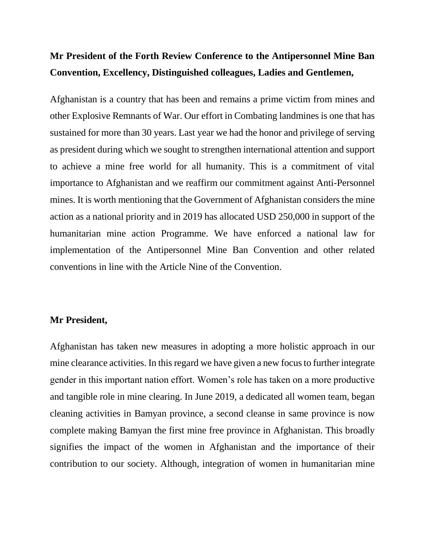# **Mr President of the Forth Review Conference to the Antipersonnel Mine Ban Convention, Excellency, Distinguished colleagues, Ladies and Gentlemen,**

Afghanistan is a country that has been and remains a prime victim from mines and other Explosive Remnants of War. Our effort in Combating landmines is one that has sustained for more than 30 years. Last year we had the honor and privilege of serving as president during which we sought to strengthen international attention and support to achieve a mine free world for all humanity. This is a commitment of vital importance to Afghanistan and we reaffirm our commitment against Anti-Personnel mines. It is worth mentioning that the Government of Afghanistan considers the mine action as a national priority and in 2019 has allocated USD 250,000 in support of the humanitarian mine action Programme. We have enforced a national law for implementation of the Antipersonnel Mine Ban Convention and other related conventions in line with the Article Nine of the Convention.

### **Mr President,**

Afghanistan has taken new measures in adopting a more holistic approach in our mine clearance activities. In this regard we have given a new focus to further integrate gender in this important nation effort. Women's role has taken on a more productive and tangible role in mine clearing. In June 2019, a dedicated all women team, began cleaning activities in Bamyan province, a second cleanse in same province is now complete making Bamyan the first mine free province in Afghanistan. This broadly signifies the impact of the women in Afghanistan and the importance of their contribution to our society. Although, integration of women in humanitarian mine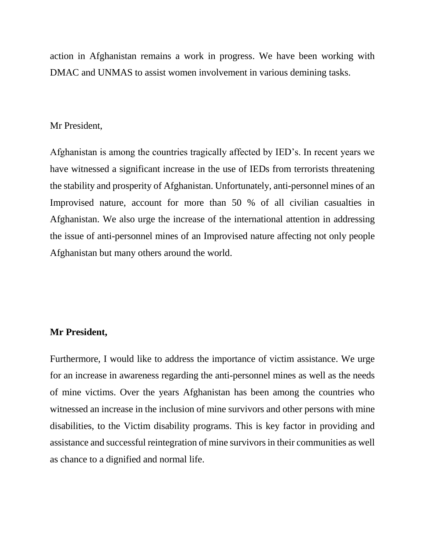action in Afghanistan remains a work in progress. We have been working with DMAC and UNMAS to assist women involvement in various demining tasks.

#### Mr President,

Afghanistan is among the countries tragically affected by IED's. In recent years we have witnessed a significant increase in the use of IEDs from terrorists threatening the stability and prosperity of Afghanistan. Unfortunately, anti-personnel mines of an Improvised nature, account for more than 50 % of all civilian casualties in Afghanistan. We also urge the increase of the international attention in addressing the issue of anti-personnel mines of an Improvised nature affecting not only people Afghanistan but many others around the world.

## **Mr President,**

Furthermore, I would like to address the importance of victim assistance. We urge for an increase in awareness regarding the anti-personnel mines as well as the needs of mine victims. Over the years Afghanistan has been among the countries who witnessed an increase in the inclusion of mine survivors and other persons with mine disabilities, to the Victim disability programs. This is key factor in providing and assistance and successful reintegration of mine survivors in their communities as well as chance to a dignified and normal life.